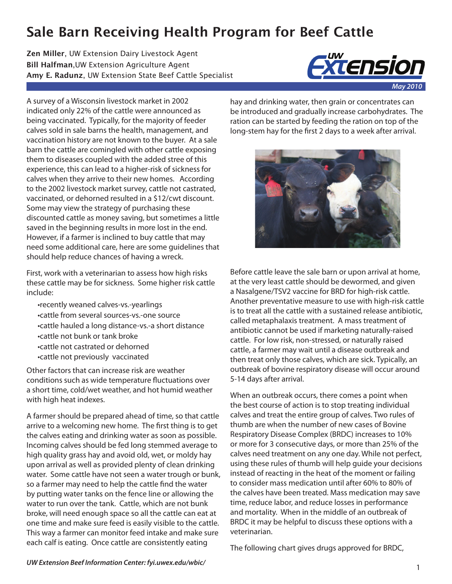## **Sale Barn Receiving Health Program for Beef Cattle**

**Zen Miller**, UW Extension Dairy Livestock Agent **Bill Halfman**,UW Extension Agriculture Agent **Amy E. Radunz**, UW Extension State Beef Cattle Specialist



A survey of a Wisconsin livestock market in 2002 indicated only 22% of the cattle were announced as being vaccinated. Typically, for the majority of feeder calves sold in sale barns the health, management, and vaccination history are not known to the buyer. At a sale barn the cattle are comingled with other cattle exposing them to diseases coupled with the added stree of this experience, this can lead to a higher-risk of sickness for calves when they arrive to their new homes. According to the 2002 livestock market survey, cattle not castrated, vaccinated, or dehorned resulted in a \$12/cwt discount. Some may view the strategy of purchasing these discounted cattle as money saving, but sometimes a little saved in the beginning results in more lost in the end. However, if a farmer is inclined to buy cattle that may need some additional care, here are some guidelines that should help reduce chances of having a wreck.

First, work with a veterinarian to assess how high risks these cattle may be for sickness. Some higher risk cattle include:

•recently weaned calves-vs.-yearlings •cattle from several sources-vs.-one source •cattle hauled a long distance-vs.-a short distance •cattle not bunk or tank broke •cattle not castrated or dehorned •cattle not previously vaccinated

Other factors that can increase risk are weather conditions such as wide temperature fluctuations over a short time, cold/wet weather, and hot humid weather with high heat indexes.

A farmer should be prepared ahead of time, so that cattle arrive to a welcoming new home. The first thing is to get the calves eating and drinking water as soon as possible. Incoming calves should be fed long stemmed average to high quality grass hay and avoid old, wet, or moldy hay upon arrival as well as provided plenty of clean drinking water. Some cattle have not seen a water trough or bunk, so a farmer may need to help the cattle find the water by putting water tanks on the fence line or allowing the water to run over the tank. Cattle, which are not bunk broke, will need enough space so all the cattle can eat at one time and make sure feed is easily visible to the cattle. This way a farmer can monitor feed intake and make sure each calf is eating. Once cattle are consistently eating

hay and drinking water, then grain or concentrates can be introduced and gradually increase carbohydrates. The ration can be started by feeding the ration on top of the long-stem hay for the first 2 days to a week after arrival.



Before cattle leave the sale barn or upon arrival at home, at the very least cattle should be dewormed, and given a Nasalgene/TSV2 vaccine for BRD for high-risk cattle. Another preventative measure to use with high-risk cattle is to treat all the cattle with a sustained release antibiotic, called metaphalaxis treatment. A mass treatment of antibiotic cannot be used if marketing naturally-raised cattle. For low risk, non-stressed, or naturally raised cattle, a farmer may wait until a disease outbreak and then treat only those calves, which are sick. Typically, an outbreak of bovine respiratory disease will occur around 5-14 days after arrival.

When an outbreak occurs, there comes a point when the best course of action is to stop treating individual calves and treat the entire group of calves. Two rules of thumb are when the number of new cases of Bovine Respiratory Disease Complex (BRDC) increases to 10% or more for 3 consecutive days, or more than 25% of the calves need treatment on any one day. While not perfect, using these rules of thumb will help guide your decisions instead of reacting in the heat of the moment or failing to consider mass medication until after 60% to 80% of the calves have been treated. Mass medication may save time, reduce labor, and reduce losses in performance and mortality. When in the middle of an outbreak of BRDC it may be helpful to discuss these options with a veterinarian.

The following chart gives drugs approved for BRDC,